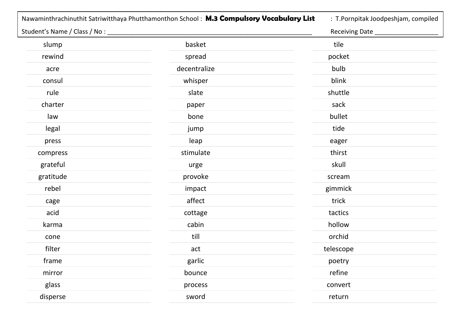| Nawaminthrachinuthit Satriwitthaya Phutthamonthon School: M.3 Compulsory Vocabulary List<br>Student's Name / Class / No : |              | : T.Pornpitak Joodpeshjam, compiled<br><b>Receiving Date</b> |
|---------------------------------------------------------------------------------------------------------------------------|--------------|--------------------------------------------------------------|
|                                                                                                                           |              |                                                              |
| rewind                                                                                                                    | spread       | pocket                                                       |
| acre                                                                                                                      | decentralize | bulb                                                         |
| consul                                                                                                                    | whisper      | blink                                                        |
| rule                                                                                                                      | slate        | shuttle                                                      |
| charter                                                                                                                   | paper        | sack                                                         |
| law                                                                                                                       | bone         | bullet                                                       |
| legal                                                                                                                     | jump         | tide                                                         |
| press                                                                                                                     | leap         | eager                                                        |
| compress                                                                                                                  | stimulate    | thirst                                                       |
| grateful                                                                                                                  | urge         | skull                                                        |
| gratitude                                                                                                                 | provoke      | scream                                                       |
| rebel                                                                                                                     | impact       | gimmick                                                      |
| cage                                                                                                                      | affect       | trick                                                        |
| acid                                                                                                                      | cottage      | tactics                                                      |
| karma                                                                                                                     | cabin        | hollow                                                       |
| cone                                                                                                                      | till         | orchid                                                       |
| filter                                                                                                                    | act          | telescope                                                    |
| frame                                                                                                                     | garlic       | poetry                                                       |
| mirror                                                                                                                    | bounce       | refine                                                       |
| glass                                                                                                                     | process      | convert                                                      |
| disperse                                                                                                                  | sword        | return                                                       |